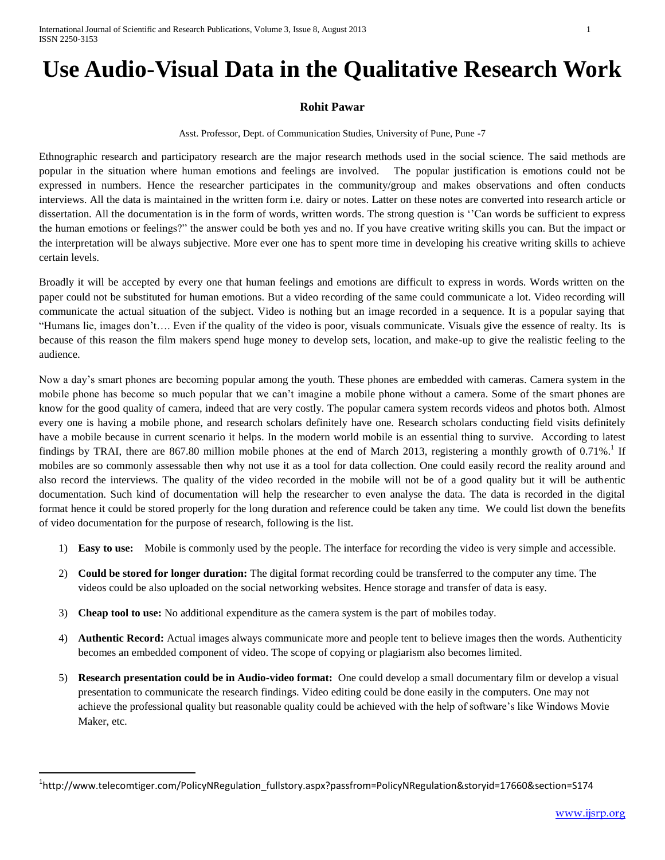## **Use Audio-Visual Data in the Qualitative Research Work**

## **Rohit Pawar**

Asst. Professor, Dept. of Communication Studies, University of Pune, Pune -7

Ethnographic research and participatory research are the major research methods used in the social science. The said methods are popular in the situation where human emotions and feelings are involved. The popular justification is emotions could not be expressed in numbers. Hence the researcher participates in the community/group and makes observations and often conducts interviews. All the data is maintained in the written form i.e. dairy or notes. Latter on these notes are converted into research article or dissertation. All the documentation is in the form of words, written words. The strong question is ''Can words be sufficient to express the human emotions or feelings?" the answer could be both yes and no. If you have creative writing skills you can. But the impact or the interpretation will be always subjective. More ever one has to spent more time in developing his creative writing skills to achieve certain levels.

Broadly it will be accepted by every one that human feelings and emotions are difficult to express in words. Words written on the paper could not be substituted for human emotions. But a video recording of the same could communicate a lot. Video recording will communicate the actual situation of the subject. Video is nothing but an image recorded in a sequence. It is a popular saying that "Humans lie, images don't…. Even if the quality of the video is poor, visuals communicate. Visuals give the essence of realty. Its is because of this reason the film makers spend huge money to develop sets, location, and make-up to give the realistic feeling to the audience.

Now a day's smart phones are becoming popular among the youth. These phones are embedded with cameras. Camera system in the mobile phone has become so much popular that we can't imagine a mobile phone without a camera. Some of the smart phones are know for the good quality of camera, indeed that are very costly. The popular camera system records videos and photos both. Almost every one is having a mobile phone, and research scholars definitely have one. Research scholars conducting field visits definitely have a mobile because in current scenario it helps. In the modern world mobile is an essential thing to survive. According to latest findings by TRAI, there are 867.80 million mobile phones at the end of March 2013, registering a monthly growth of 0.71%.<sup>1</sup> If mobiles are so commonly assessable then why not use it as a tool for data collection. One could easily record the reality around and also record the interviews. The quality of the video recorded in the mobile will not be of a good quality but it will be authentic documentation. Such kind of documentation will help the researcher to even analyse the data. The data is recorded in the digital format hence it could be stored properly for the long duration and reference could be taken any time. We could list down the benefits of video documentation for the purpose of research, following is the list.

- 1) **Easy to use:** Mobile is commonly used by the people. The interface for recording the video is very simple and accessible.
- 2) **Could be stored for longer duration:** The digital format recording could be transferred to the computer any time. The videos could be also uploaded on the social networking websites. Hence storage and transfer of data is easy.
- 3) **Cheap tool to use:** No additional expenditure as the camera system is the part of mobiles today.

 $\overline{\phantom{a}}$ 

- 4) **Authentic Record:** Actual images always communicate more and people tent to believe images then the words. Authenticity becomes an embedded component of video. The scope of copying or plagiarism also becomes limited.
- 5) **Research presentation could be in Audio-video format:** One could develop a small documentary film or develop a visual presentation to communicate the research findings. Video editing could be done easily in the computers. One may not achieve the professional quality but reasonable quality could be achieved with the help of software's like Windows Movie Maker, etc.

<sup>&</sup>lt;sup>1</sup>http://www.telecomtiger.com/PolicyNRegulation\_fullstory.aspx?passfrom=PolicyNRegulation&storyid=17660&section=S174